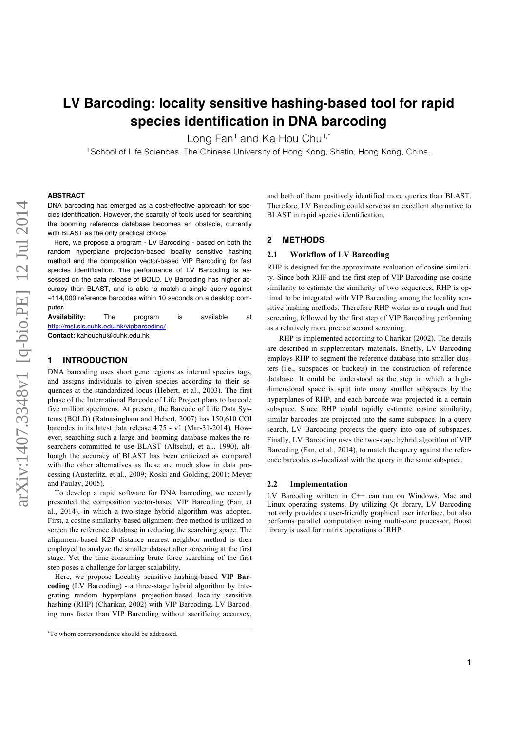# **LV Barcoding: locality sensitive hashing-based tool for rapid species identification in DNA barcoding**

Long Fan<sup>1</sup> and Ka Hou Chu<sup>1,\*</sup>

<sup>1</sup> School of Life Sciences, The Chinese University of Hong Kong, Shatin, Hong Kong, China.

### **ABSTRACT**

DNA barcoding has emerged as a cost-effective approach for species identification. However, the scarcity of tools used for searching the booming reference database becomes an obstacle, currently with BLAST as the only practical choice.

Here, we propose a program - LV Barcoding - based on both the random hyperplane projection-based locality sensitive hashing method and the composition vector-based VIP Barcoding for fast species identification. The performance of LV Barcoding is assessed on the data release of BOLD. LV Barcoding has higher accuracy than BLAST, and is able to match a single query against ~114,000 reference barcodes within 10 seconds on a desktop computer.

**Availability**: The program is available at http://msl.sls.cuhk.edu.hk/vipbarcoding/ **Contact:** kahouchu@cuhk.edu.hk

### **1 INTRODUCTION**

DNA barcoding uses short gene regions as internal species tags, and assigns individuals to given species according to their sequences at the standardized locus (Hebert, et al., 2003). The first phase of the International Barcode of Life Project plans to barcode five million specimens. At present, the Barcode of Life Data Systems (BOLD) (Ratnasingham and Hebert, 2007) has 150,610 COI barcodes in its latest data release 4.75 - v1 (Mar-31-2014). However, searching such a large and booming database makes the researchers committed to use BLAST (Altschul, et al., 1990), although the accuracy of BLAST has been criticized as compared with the other alternatives as these are much slow in data processing (Austerlitz, et al., 2009; Koski and Golding, 2001; Meyer and Paulay, 2005).

To develop a rapid software for DNA barcoding, we recently presented the composition vector-based VIP Barcoding (Fan, et al., 2014), in which a two-stage hybrid algorithm was adopted. First, a cosine similarity-based alignment-free method is utilized to screen the reference database in reducing the searching space. The alignment-based K2P distance nearest neighbor method is then employed to analyze the smaller dataset after screening at the first stage. Yet the time-consuming brute force searching of the first step poses a challenge for larger scalability.

Here, we propose **L**ocality sensitive hashing-based **V**IP **Barcoding** (LV Barcoding) - a three-stage hybrid algorithm by integrating random hyperplane projection-based locality sensitive hashing (RHP) (Charikar, 2002) with VIP Barcoding. LV Barcoding runs faster than VIP Barcoding without sacrificing accuracy,

and both of them positively identified more queries than BLAST. Therefore, LV Barcoding could serve as an excellent alternative to BLAST in rapid species identification.

### **2 METHODS**

### **2.1 Workflow of LV Barcoding**

RHP is designed for the approximate evaluation of cosine similarity. Since both RHP and the first step of VIP Barcoding use cosine similarity to estimate the similarity of two sequences, RHP is optimal to be integrated with VIP Barcoding among the locality sensitive hashing methods. Therefore RHP works as a rough and fast screening, followed by the first step of VIP Barcoding performing as a relatively more precise second screening.

RHP is implemented according to Charikar (2002). The details are described in supplementary materials. Briefly, LV Barcoding employs RHP to segment the reference database into smaller clusters (i.e., subspaces or buckets) in the construction of reference database. It could be understood as the step in which a highdimensional space is split into many smaller subspaces by the hyperplanes of RHP, and each barcode was projected in a certain subspace. Since RHP could rapidly estimate cosine similarity, similar barcodes are projected into the same subspace. In a query search, LV Barcoding projects the query into one of subspaces. Finally, LV Barcoding uses the two-stage hybrid algorithm of VIP Barcoding (Fan, et al., 2014), to match the query against the reference barcodes co-localized with the query in the same subspace.

### **2.2 Implementation**

LV Barcoding written in C++ can run on Windows, Mac and Linux operating systems. By utilizing Qt library, LV Barcoding not only provides a user-friendly graphical user interface, but also performs parallel computation using multi-core processor. Boost library is used for matrix operations of RHP.

<sup>\*</sup>To whom correspondence should be addressed.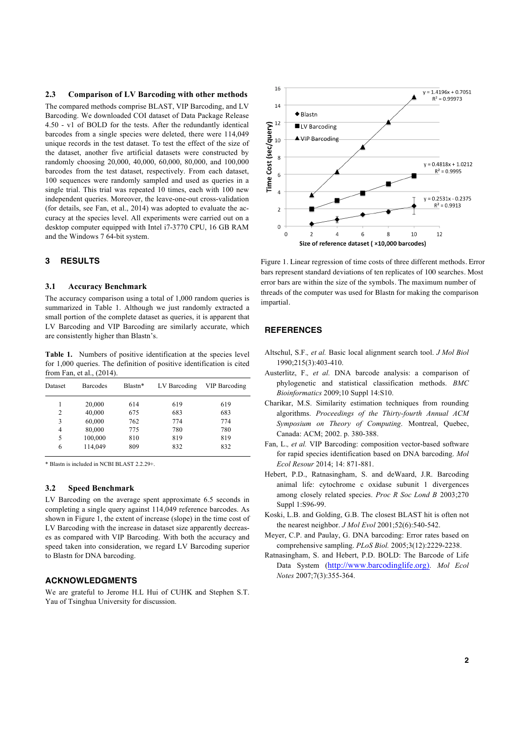### **2.3 Comparison of LV Barcoding with other methods**

The compared methods comprise BLAST, VIP Barcoding, and LV Barcoding. We downloaded COI dataset of Data Package Release 4.50 - v1 of BOLD for the tests. After the redundantly identical barcodes from a single species were deleted, there were 114,049 unique records in the test dataset. To test the effect of the size of the dataset, another five artificial datasets were constructed by randomly choosing 20,000, 40,000, 60,000, 80,000, and 100,000 barcodes from the test dataset, respectively. From each dataset, 100 sequences were randomly sampled and used as queries in a single trial. This trial was repeated 10 times, each with 100 new independent queries. Moreover, the leave-one-out cross-validation (for details, see Fan, et al., 2014) was adopted to evaluate the accuracy at the species level. All experiments were carried out on a desktop computer equipped with Intel i7-3770 CPU, 16 GB RAM and the Windows 7 64-bit system.

### **3 RESULTS**

#### **3.1 Accuracy Benchmark**

The accuracy comparison using a total of 1,000 random queries is summarized in Table 1. Although we just randomly extracted a small portion of the complete dataset as queries, it is apparent that LV Barcoding and VIP Barcoding are similarly accurate, which are consistently higher than Blastn's.

**Table 1.** Numbers of positive identification at the species level for 1,000 queries. The definition of positive identification is cited from Fan, et al., (2014).

| Dataset | <b>Barcodes</b> | Blastn* | LV Barcoding | <b>VIP Barcoding</b> |
|---------|-----------------|---------|--------------|----------------------|
|         | 20,000          | 614     | 619          | 619                  |
| 2       | 40,000          | 675     | 683          | 683                  |
| 3       | 60,000          | 762     | 774          | 774                  |
| 4       | 80,000          | 775     | 780          | 780                  |
| 5       | 100,000         | 810     | 819          | 819                  |
| 6       | 114,049         | 809     | 832          | 832                  |

\* Blastn is included in NCBI BLAST 2.2.29+.

### **3.2 Speed Benchmark**

LV Barcoding on the average spent approximate 6.5 seconds in completing a single query against 114,049 reference barcodes. As shown in Figure 1, the extent of increase (slope) in the time cost of LV Barcoding with the increase in dataset size apparently decreases as compared with VIP Barcoding. With both the accuracy and speed taken into consideration, we regard LV Barcoding superior to Blastn for DNA barcoding.

### **ACKNOWLEDGMENTS**

We are grateful to Jerome H.L Hui of CUHK and Stephen S.T. Yau of Tsinghua University for discussion.



Figure 1. Linear regression of time costs of three different methods. Error bars represent standard deviations of ten replicates of 100 searches. Most error bars are within the size of the symbols. The maximum number of threads of the computer was used for Blastn for making the comparison impartial.

### **REFERENCES**

- Altschul, S.F.*, et al.* Basic local alignment search tool. *J Mol Biol* 1990;215(3):403-410.
- Austerlitz, F.*, et al.* DNA barcode analysis: a comparison of phylogenetic and statistical classification methods. *BMC Bioinformatics* 2009;10 Suppl 14:S10.
- Charikar, M.S. Similarity estimation techniques from rounding algorithms. *Proceedings of the Thirty-fourth Annual ACM Symposium on Theory of Computing*. Montreal, Quebec, Canada: ACM; 2002. p. 380-388.
- Fan, L.*, et al.* VIP Barcoding: composition vector-based software for rapid species identification based on DNA barcoding. *Mol Ecol Resour* 2014; 14: 871-881.
- Hebert, P.D., Ratnasingham, S. and deWaard, J.R. Barcoding animal life: cytochrome c oxidase subunit 1 divergences among closely related species. *Proc R Soc Lond B* 2003;270 Suppl 1:S96-99.
- Koski, L.B. and Golding, G.B. The closest BLAST hit is often not the nearest neighbor. *J Mol Evol* 2001;52(6):540-542.
- Meyer, C.P. and Paulay, G. DNA barcoding: Error rates based on comprehensive sampling. *PLoS Biol.* 2005;3(12):2229-2238.
- Ratnasingham, S. and Hebert, P.D. BOLD: The Barcode of Life Data System (http://www.barcodinglife.org). *Mol Ecol Notes* 2007;7(3):355-364.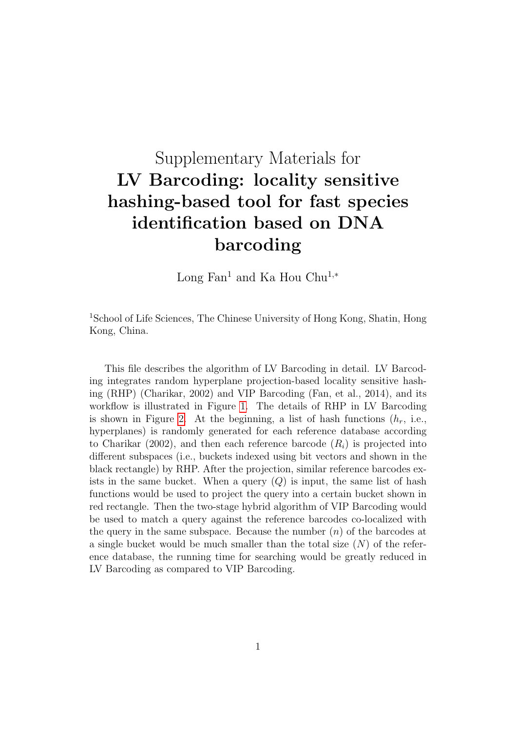# Supplementary Materials for LV Barcoding: locality sensitive hashing-based tool for fast species identification based on DNA barcoding

Long Fan<sup>1</sup> and Ka Hou Chu<sup>1,\*</sup>

<sup>1</sup>School of Life Sciences, The Chinese University of Hong Kong, Shatin, Hong Kong, China.

This file describes the algorithm of LV Barcoding in detail. LV Barcoding integrates random hyperplane projection-based locality sensitive hashing (RHP) (Charikar, 2002) and VIP Barcoding (Fan, et al., 2014), and its workflow is illustrated in Figure [1.](#page-3-0) The details of RHP in LV Barcoding is shown in Figure [2.](#page-3-1) At the beginning, a list of hash functions  $(h_r, i.e.,$ hyperplanes) is randomly generated for each reference database according to Charikar (2002), and then each reference barcode  $(R<sub>i</sub>)$  is projected into different subspaces (i.e., buckets indexed using bit vectors and shown in the black rectangle) by RHP. After the projection, similar reference barcodes exists in the same bucket. When a query  $(Q)$  is input, the same list of hash functions would be used to project the query into a certain bucket shown in red rectangle. Then the two-stage hybrid algorithm of VIP Barcoding would be used to match a query against the reference barcodes co-localized with the query in the same subspace. Because the number  $(n)$  of the barcodes at a single bucket would be much smaller than the total size  $(N)$  of the reference database, the running time for searching would be greatly reduced in LV Barcoding as compared to VIP Barcoding.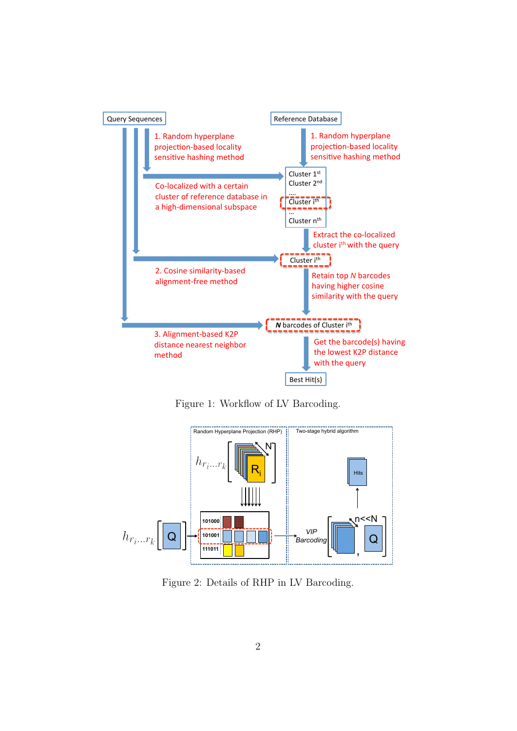

<span id="page-3-0"></span>Figure 1: Workflow of LV Barcoding.



<span id="page-3-1"></span>Figure 2: Details of RHP in LV Barcoding.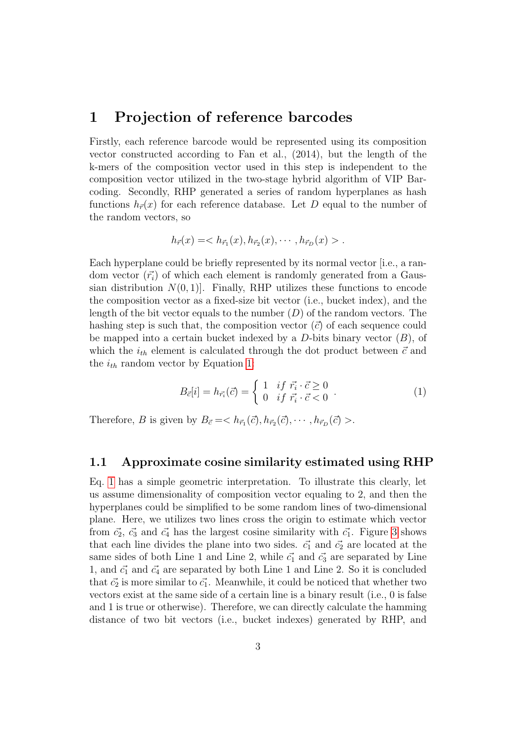# 1 Projection of reference barcodes

Firstly, each reference barcode would be represented using its composition vector constructed according to Fan et al., (2014), but the length of the k-mers of the composition vector used in this step is independent to the composition vector utilized in the two-stage hybrid algorithm of VIP Barcoding. Secondly, RHP generated a series of random hyperplanes as hash functions  $h_{\vec{r}}(x)$  for each reference database. Let D equal to the number of the random vectors, so

$$
h_{\vec{r}}(x) = .
$$

Each hyperplane could be briefly represented by its normal vector [i.e., a random vector  $(\vec{r}_i)$  of which each element is randomly generated from a Gaussian distribution  $N(0, 1)$ . Finally, RHP utilizes these functions to encode the composition vector as a fixed-size bit vector (i.e., bucket index), and the length of the bit vector equals to the number  $(D)$  of the random vectors. The hashing step is such that, the composition vector  $(\vec{c})$  of each sequence could be mapped into a certain bucket indexed by a  $D$ -bits binary vector  $(B)$ , of which the  $i_{th}$  element is calculated through the dot product between  $\vec{c}$  and the  $i_{th}$  random vector by Equation [1:](#page-4-0)

<span id="page-4-0"></span>
$$
B_{\vec{c}}[i] = h_{\vec{r_i}}(\vec{c}) = \begin{cases} 1 & \text{if } \vec{r_i} \cdot \vec{c} \ge 0 \\ 0 & \text{if } \vec{r_i} \cdot \vec{c} < 0 \end{cases} . \tag{1}
$$

Therefore, B is given by  $B_{\vec{c}} = < h_{\vec{r}_1}(\vec{c}), h_{\vec{r}_2}(\vec{c}), \cdots, h_{\vec{r}_D}(\vec{c}) >$ .

### 1.1 Approximate cosine similarity estimated using RHP

Eq. [1](#page-4-0) has a simple geometric interpretation. To illustrate this clearly, let us assume dimensionality of composition vector equaling to 2, and then the hyperplanes could be simplified to be some random lines of two-dimensional plane. Here, we utilizes two lines cross the origin to estimate which vector from  $\vec{c_2}$ ,  $\vec{c_3}$  and  $\vec{c_4}$  has the largest cosine similarity with  $\vec{c_1}$ . Figure [3](#page-5-0) shows that each line divides the plane into two sides.  $\vec{c_1}$  and  $\vec{c_2}$  are located at the same sides of both Line 1 and Line 2, while  $\vec{c}_1$  and  $\vec{c}_3$  are separated by Line 1, and  $\vec{c_1}$  and  $\vec{c_4}$  are separated by both Line 1 and Line 2. So it is concluded that  $\vec{c}_2$  is more similar to  $\vec{c}_1$ . Meanwhile, it could be noticed that whether two vectors exist at the same side of a certain line is a binary result (i.e., 0 is false and 1 is true or otherwise). Therefore, we can directly calculate the hamming distance of two bit vectors (i.e., bucket indexes) generated by RHP, and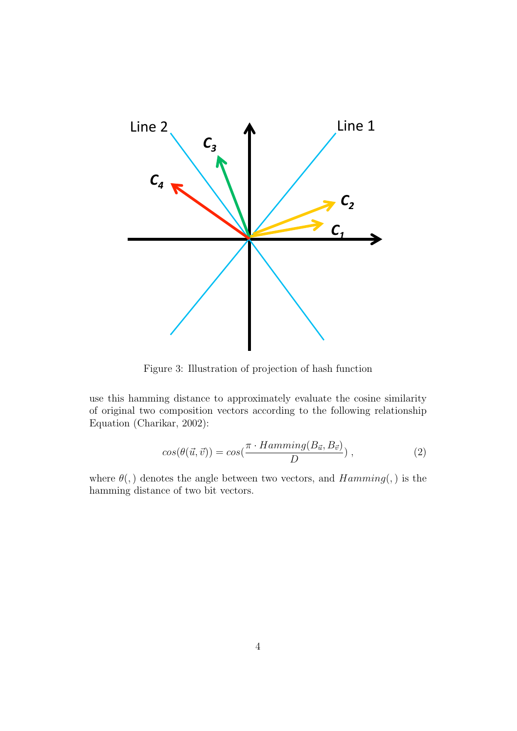

<span id="page-5-0"></span>Figure 3: Illustration of projection of hash function

use this hamming distance to approximately evaluate the cosine similarity of original two composition vectors according to the following relationship Equation (Charikar, 2002):

<span id="page-5-1"></span>
$$
cos(\theta(\vec{u}, \vec{v})) = cos(\frac{\pi \cdot Hamming(B_{\vec{u}}, B_{\vec{v}})}{D}), \qquad (2)
$$

where  $\theta(.)$  denotes the angle between two vectors, and  $Hamming(.)$  is the hamming distance of two bit vectors.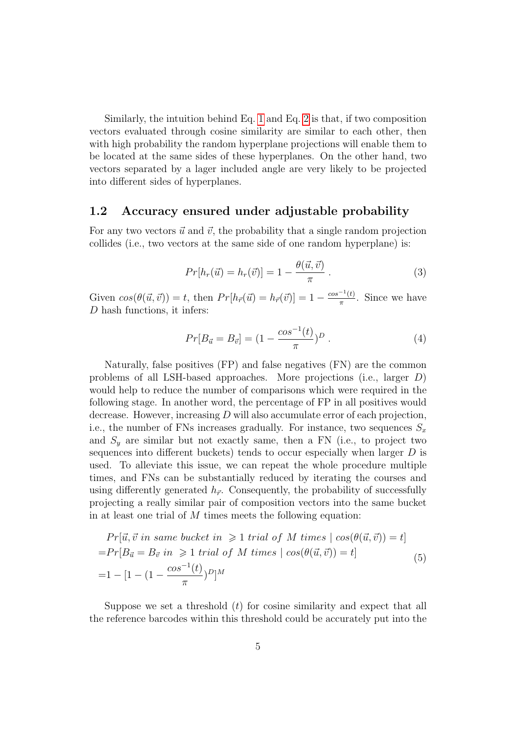Similarly, the intuition behind Eq. [1](#page-4-0) and Eq. [2](#page-5-1) is that, if two composition vectors evaluated through cosine similarity are similar to each other, then with high probability the random hyperplane projections will enable them to be located at the same sides of these hyperplanes. On the other hand, two vectors separated by a lager included angle are very likely to be projected into different sides of hyperplanes.

## 1.2 Accuracy ensured under adjustable probability

For any two vectors  $\vec{u}$  and  $\vec{v}$ , the probability that a single random projection collides (i.e., two vectors at the same side of one random hyperplane) is:

$$
Pr[h_r(\vec{u}) = h_r(\vec{v})] = 1 - \frac{\theta(\vec{u}, \vec{v})}{\pi}.
$$
\n(3)

Given  $\cos(\theta(\vec{u}, \vec{v})) = t$ , then  $Pr[h_{\vec{r}}(\vec{u}) = h_{\vec{r}}(\vec{v})] = 1 - \frac{\cos^{-1}(t)}{\pi}$  $\frac{f(t)}{\pi}$ . Since we have D hash functions, it infers:

<span id="page-6-0"></span>
$$
Pr[B_{\vec{u}} = B_{\vec{v}}] = (1 - \frac{\cos^{-1}(t)}{\pi})^D.
$$
 (4)

Naturally, false positives (FP) and false negatives (FN) are the common problems of all LSH-based approaches. More projections (i.e., larger D) would help to reduce the number of comparisons which were required in the following stage. In another word, the percentage of FP in all positives would decrease. However, increasing D will also accumulate error of each projection, i.e., the number of FNs increases gradually. For instance, two sequences  $S_x$ and  $S_y$  are similar but not exactly same, then a FN (i.e., to project two sequences into different buckets) tends to occur especially when larger D is used. To alleviate this issue, we can repeat the whole procedure multiple times, and FNs can be substantially reduced by iterating the courses and using differently generated  $h_{\vec{r}}$ . Consequently, the probability of successfully projecting a really similar pair of composition vectors into the same bucket in at least one trial of M times meets the following equation:

<span id="page-6-1"></span>
$$
Pr[\vec{u}, \vec{v} \text{ in same bucket in } \geq 1 \text{ trial of } M \text{ times } | \cos(\theta(\vec{u}, \vec{v})) = t]
$$
  
=
$$
Pr[B_{\vec{u}} = B_{\vec{v}} \text{ in } \geq 1 \text{ trial of } M \text{ times } | \cos(\theta(\vec{u}, \vec{v})) = t]
$$
  
=
$$
1 - [1 - (1 - \frac{\cos^{-1}(t)}{\pi})^D]^M
$$
 (5)

Suppose we set a threshold  $(t)$  for cosine similarity and expect that all the reference barcodes within this threshold could be accurately put into the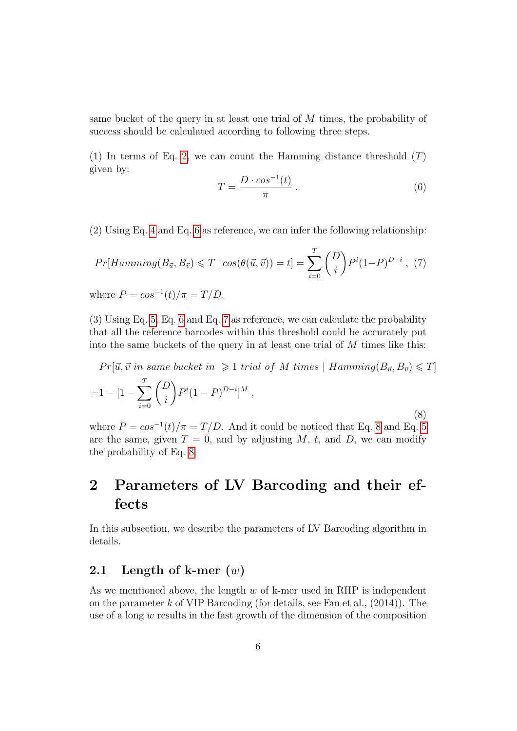same bucket of the query in at least one trial of M times, the probability of success should be calculated according to following three steps.

(1) In terms of Eq. [2,](#page-5-1) we can count the Hamming distance threshold  $(T)$ given by:

<span id="page-7-0"></span>
$$
T = \frac{D \cdot \cos^{-1}(t)}{\pi} \,. \tag{6}
$$

(2) Using Eq. [4](#page-6-0) and Eq. [6](#page-7-0) as reference, we can infer the following relationship:

<span id="page-7-1"></span>
$$
Pr[Hamming(B_{\vec{u}}, B_{\vec{v}}) \leq T \mid \cos(\theta(\vec{u}, \vec{v})) = t] = \sum_{i=0}^{T} {D \choose i} P^{i} (1-P)^{D-i} , (7)
$$

where  $P = cos^{-1}(t)/\pi = T/D$ .

(3) Using Eq. [5,](#page-6-1) Eq. [6](#page-7-0) and Eq. [7](#page-7-1) as reference, we can calculate the probability that all the reference barcodes within this threshold could be accurately put into the same buckets of the query in at least one trial of  $M$  times like this:

<span id="page-7-2"></span>
$$
Pr[\vec{u}, \vec{v} \text{ in same bucket in } \geq 1 \text{ trial of } M \text{ times } | \text{ Hamming}(B_{\vec{u}}, B_{\vec{v}}) \leq T]
$$
  
=1 - [1 -  $\sum_{i=0}^{T} {D \choose i} P^{i} (1 - P)^{D-i}]^{M}$ , (8)

where  $P = cos^{-1}(t)/\pi = T/D$ . And it could be noticed that Eq. [8](#page-7-2) and Eq. [5](#page-6-1) are the same, given  $T = 0$ , and by adjusting M, t, and D, we can modify the probability of Eq. [8.](#page-7-2)

# 2 Parameters of LV Barcoding and their effects

In this subsection, we describe the parameters of LV Barcoding algorithm in details.

## 2.1 Length of k-mer  $(w)$

As we mentioned above, the length  $w$  of k-mer used in RHP is independent on the parameter  $k$  of VIP Barcoding (for details, see Fan et al.,  $(2014)$ ). The use of a long w results in the fast growth of the dimension of the composition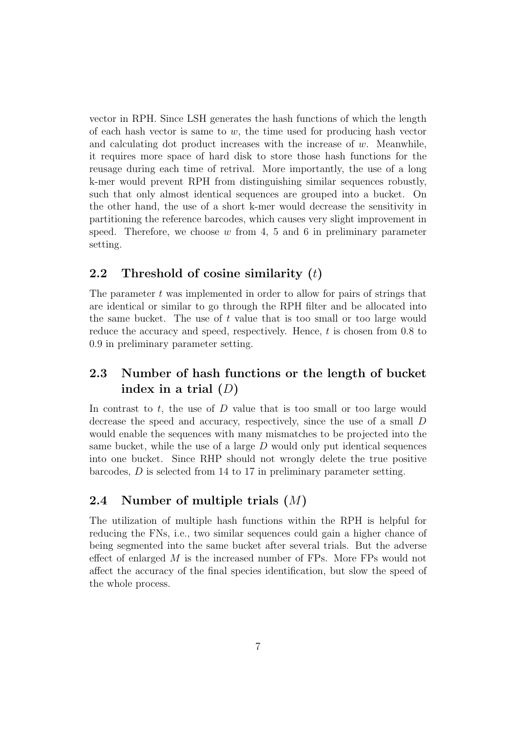vector in RPH. Since LSH generates the hash functions of which the length of each hash vector is same to  $w$ , the time used for producing hash vector and calculating dot product increases with the increase of w. Meanwhile, it requires more space of hard disk to store those hash functions for the reusage during each time of retrival. More importantly, the use of a long k-mer would prevent RPH from distinguishing similar sequences robustly, such that only almost identical sequences are grouped into a bucket. On the other hand, the use of a short k-mer would decrease the sensitivity in partitioning the reference barcodes, which causes very slight improvement in speed. Therefore, we choose  $w$  from 4, 5 and 6 in preliminary parameter setting.

## 2.2 Threshold of cosine similarity  $(t)$

The parameter  $t$  was implemented in order to allow for pairs of strings that are identical or similar to go through the RPH filter and be allocated into the same bucket. The use of  $t$  value that is too small or too large would reduce the accuracy and speed, respectively. Hence, t is chosen from 0.8 to 0.9 in preliminary parameter setting.

## 2.3 Number of hash functions or the length of bucket index in a trial  $(D)$

In contrast to  $t$ , the use of  $D$  value that is too small or too large would decrease the speed and accuracy, respectively, since the use of a small D would enable the sequences with many mismatches to be projected into the same bucket, while the use of a large  $D$  would only put identical sequences into one bucket. Since RHP should not wrongly delete the true positive barcodes, D is selected from 14 to 17 in preliminary parameter setting.

## 2.4 Number of multiple trials (M)

The utilization of multiple hash functions within the RPH is helpful for reducing the FNs, i.e., two similar sequences could gain a higher chance of being segmented into the same bucket after several trials. But the adverse effect of enlarged M is the increased number of FPs. More FPs would not affect the accuracy of the final species identification, but slow the speed of the whole process.